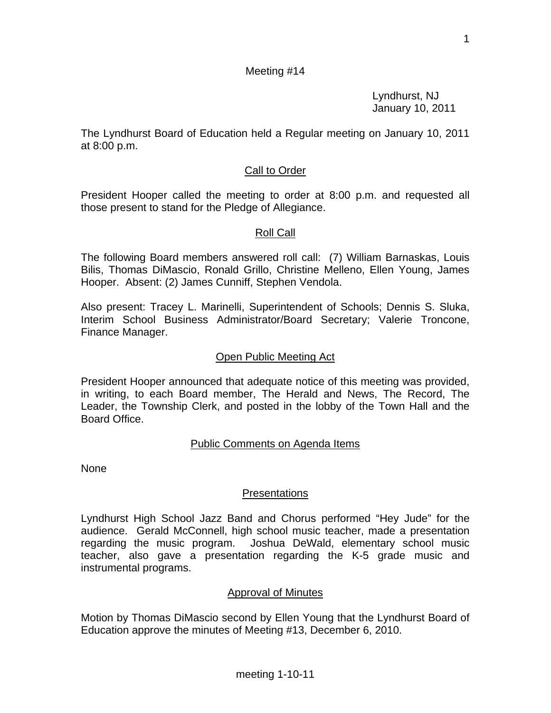Lyndhurst, NJ January 10, 2011

The Lyndhurst Board of Education held a Regular meeting on January 10, 2011 at 8:00 p.m.

## Call to Order

President Hooper called the meeting to order at 8:00 p.m. and requested all those present to stand for the Pledge of Allegiance.

## Roll Call

The following Board members answered roll call: (7) William Barnaskas, Louis Bilis, Thomas DiMascio, Ronald Grillo, Christine Melleno, Ellen Young, James Hooper. Absent: (2) James Cunniff, Stephen Vendola.

Also present: Tracey L. Marinelli, Superintendent of Schools; Dennis S. Sluka, Interim School Business Administrator/Board Secretary; Valerie Troncone, Finance Manager.

### Open Public Meeting Act

President Hooper announced that adequate notice of this meeting was provided, in writing, to each Board member, The Herald and News, The Record, The Leader, the Township Clerk, and posted in the lobby of the Town Hall and the Board Office.

#### Public Comments on Agenda Items

None

## Presentations

Lyndhurst High School Jazz Band and Chorus performed "Hey Jude" for the audience. Gerald McConnell, high school music teacher, made a presentation regarding the music program. Joshua DeWald, elementary school music teacher, also gave a presentation regarding the K-5 grade music and instrumental programs.

#### Approval of Minutes

Motion by Thomas DiMascio second by Ellen Young that the Lyndhurst Board of Education approve the minutes of Meeting #13, December 6, 2010.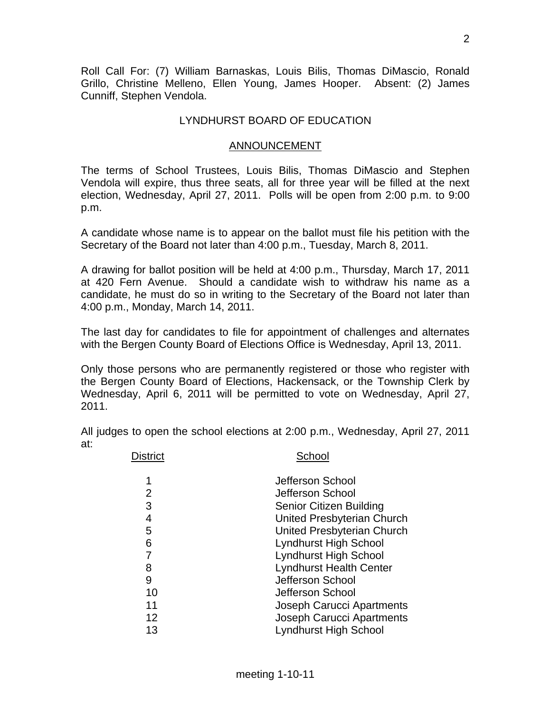Roll Call For: (7) William Barnaskas, Louis Bilis, Thomas DiMascio, Ronald Grillo, Christine Melleno, Ellen Young, James Hooper. Absent: (2) James Cunniff, Stephen Vendola.

## LYNDHURST BOARD OF EDUCATION

### ANNOUNCEMENT

The terms of School Trustees, Louis Bilis, Thomas DiMascio and Stephen Vendola will expire, thus three seats, all for three year will be filled at the next election, Wednesday, April 27, 2011. Polls will be open from 2:00 p.m. to 9:00 p.m.

A candidate whose name is to appear on the ballot must file his petition with the Secretary of the Board not later than 4:00 p.m., Tuesday, March 8, 2011.

A drawing for ballot position will be held at 4:00 p.m., Thursday, March 17, 2011 at 420 Fern Avenue. Should a candidate wish to withdraw his name as a candidate, he must do so in writing to the Secretary of the Board not later than 4:00 p.m., Monday, March 14, 2011.

The last day for candidates to file for appointment of challenges and alternates with the Bergen County Board of Elections Office is Wednesday, April 13, 2011.

Only those persons who are permanently registered or those who register with the Bergen County Board of Elections, Hackensack, or the Township Clerk by Wednesday, April 6, 2011 will be permitted to vote on Wednesday, April 27, 2011.

All judges to open the school elections at 2:00 p.m., Wednesday, April 27, 2011 at:

| <b>District</b> | School                           |
|-----------------|----------------------------------|
| 1               | Jefferson School                 |
| 2               | Jefferson School                 |
| 3               | <b>Senior Citizen Building</b>   |
| $\overline{4}$  | United Presbyterian Church       |
| 5               | United Presbyterian Church       |
| 6               | Lyndhurst High School            |
| 7               | <b>Lyndhurst High School</b>     |
| 8               | <b>Lyndhurst Health Center</b>   |
| 9               | Jefferson School                 |
| 10              | Jefferson School                 |
| 11              | Joseph Carucci Apartments        |
| 12              | <b>Joseph Carucci Apartments</b> |
| 13              | <b>Lyndhurst High School</b>     |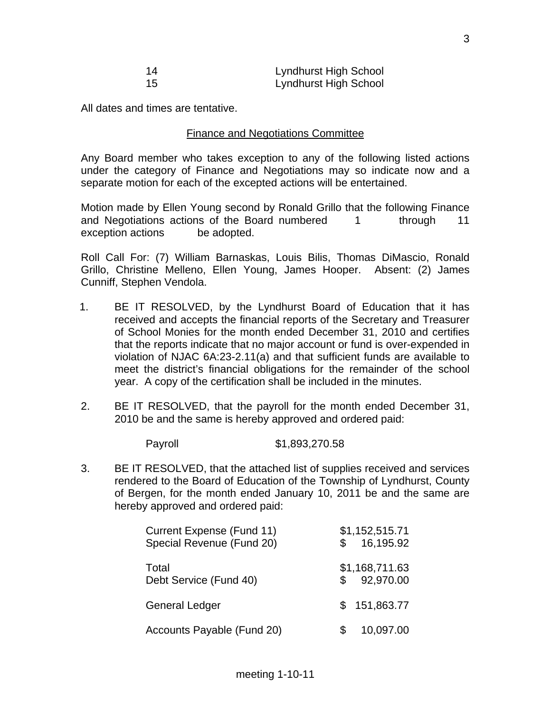| 14 | Lyndhurst High School |
|----|-----------------------|
| 15 | Lyndhurst High School |

All dates and times are tentative.

### Finance and Negotiations Committee

Any Board member who takes exception to any of the following listed actions under the category of Finance and Negotiations may so indicate now and a separate motion for each of the excepted actions will be entertained.

Motion made by Ellen Young second by Ronald Grillo that the following Finance and Negotiations actions of the Board numbered 1 through 11 exception actions be adopted.

Roll Call For: (7) William Barnaskas, Louis Bilis, Thomas DiMascio, Ronald Grillo, Christine Melleno, Ellen Young, James Hooper. Absent: (2) James Cunniff, Stephen Vendola.

- 1. BE IT RESOLVED, by the Lyndhurst Board of Education that it has received and accepts the financial reports of the Secretary and Treasurer of School Monies for the month ended December 31, 2010 and certifies that the reports indicate that no major account or fund is over-expended in violation of NJAC 6A:23-2.11(a) and that sufficient funds are available to meet the district's financial obligations for the remainder of the school year. A copy of the certification shall be included in the minutes.
- 2. BE IT RESOLVED, that the payroll for the month ended December 31, 2010 be and the same is hereby approved and ordered paid:

Payroll \$1,893,270.58

3. BE IT RESOLVED, that the attached list of supplies received and services rendered to the Board of Education of the Township of Lyndhurst, County of Bergen, for the month ended January 10, 2011 be and the same are hereby approved and ordered paid:

| Current Expense (Fund 11)<br>Special Revenue (Fund 20) |    | \$1,152,515.71<br>16,195.92 |
|--------------------------------------------------------|----|-----------------------------|
| Total<br>Debt Service (Fund 40)                        |    | \$1,168,711.63<br>92,970.00 |
| <b>General Ledger</b>                                  | S. | 151,863.77                  |
| Accounts Payable (Fund 20)                             |    | 10,097.00                   |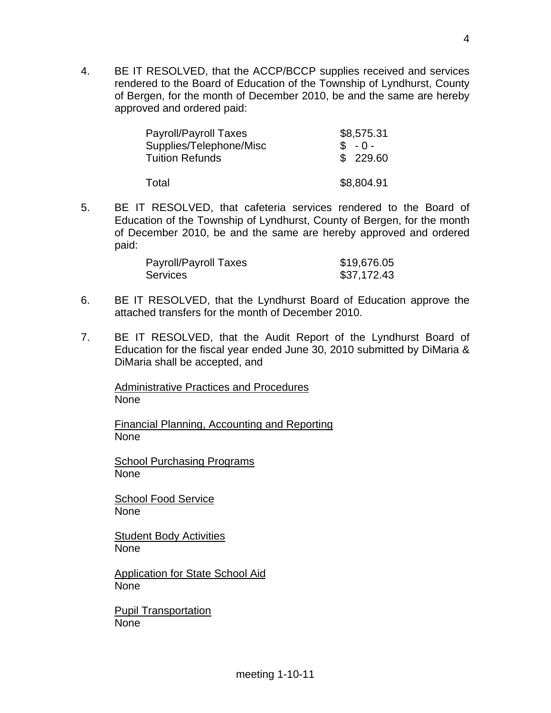4. BE IT RESOLVED, that the ACCP/BCCP supplies received and services rendered to the Board of Education of the Township of Lyndhurst, County of Bergen, for the month of December 2010, be and the same are hereby approved and ordered paid:

| Payroll/Payroll Taxes<br>Supplies/Telephone/Misc | \$8,575.31<br>$$ -0 -$ |
|--------------------------------------------------|------------------------|
| <b>Tuition Refunds</b>                           | \$229.60               |
| Total                                            | \$8,804.91             |

5. BE IT RESOLVED, that cafeteria services rendered to the Board of Education of the Township of Lyndhurst, County of Bergen, for the month of December 2010, be and the same are hereby approved and ordered paid:

| Payroll/Payroll Taxes | \$19,676.05 |
|-----------------------|-------------|
| <b>Services</b>       | \$37,172.43 |

- 6. BE IT RESOLVED, that the Lyndhurst Board of Education approve the attached transfers for the month of December 2010.
- 7. BE IT RESOLVED, that the Audit Report of the Lyndhurst Board of Education for the fiscal year ended June 30, 2010 submitted by DiMaria & DiMaria shall be accepted, and

Administrative Practices and Procedures None

Financial Planning, Accounting and Reporting None

School Purchasing Programs None

School Food Service None

**Student Body Activities** None

Application for State School Aid None

Pupil Transportation None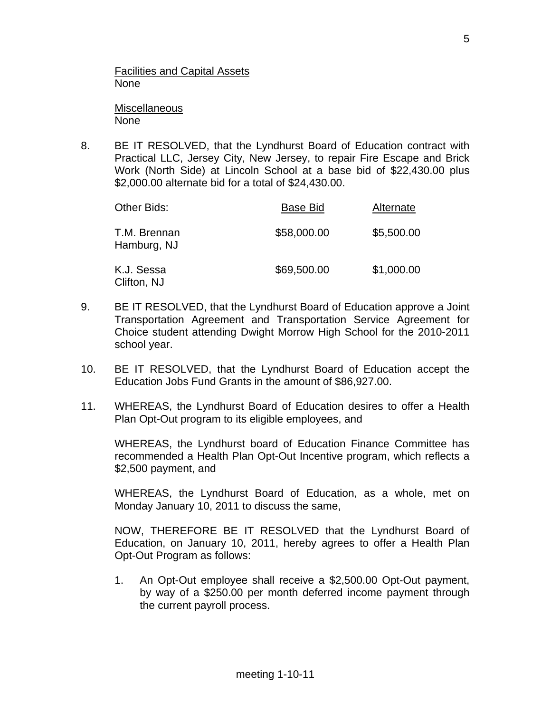Facilities and Capital Assets None

**Miscellaneous** None

8. BE IT RESOLVED, that the Lyndhurst Board of Education contract with Practical LLC, Jersey City, New Jersey, to repair Fire Escape and Brick Work (North Side) at Lincoln School at a base bid of \$22,430.00 plus \$2,000.00 alternate bid for a total of \$24,430.00.

| Other Bids:                 | <b>Base Bid</b> | Alternate  |
|-----------------------------|-----------------|------------|
| T.M. Brennan<br>Hamburg, NJ | \$58,000.00     | \$5,500.00 |
| K.J. Sessa<br>Clifton, NJ   | \$69,500.00     | \$1,000.00 |

- 9. BE IT RESOLVED, that the Lyndhurst Board of Education approve a Joint Transportation Agreement and Transportation Service Agreement for Choice student attending Dwight Morrow High School for the 2010-2011 school year.
- 10. BE IT RESOLVED, that the Lyndhurst Board of Education accept the Education Jobs Fund Grants in the amount of \$86,927.00.
- 11. WHEREAS, the Lyndhurst Board of Education desires to offer a Health Plan Opt-Out program to its eligible employees, and

 WHEREAS, the Lyndhurst board of Education Finance Committee has recommended a Health Plan Opt-Out Incentive program, which reflects a \$2,500 payment, and

 WHEREAS, the Lyndhurst Board of Education, as a whole, met on Monday January 10, 2011 to discuss the same,

 NOW, THEREFORE BE IT RESOLVED that the Lyndhurst Board of Education, on January 10, 2011, hereby agrees to offer a Health Plan Opt-Out Program as follows:

1. An Opt-Out employee shall receive a \$2,500.00 Opt-Out payment, by way of a \$250.00 per month deferred income payment through the current payroll process.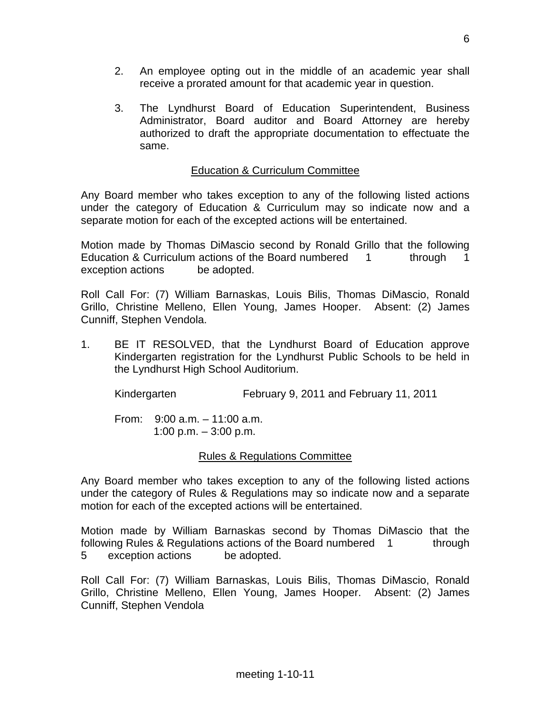- 2. An employee opting out in the middle of an academic year shall receive a prorated amount for that academic year in question.
- 3. The Lyndhurst Board of Education Superintendent, Business Administrator, Board auditor and Board Attorney are hereby authorized to draft the appropriate documentation to effectuate the same.

# Education & Curriculum Committee

Any Board member who takes exception to any of the following listed actions under the category of Education & Curriculum may so indicate now and a separate motion for each of the excepted actions will be entertained.

Motion made by Thomas DiMascio second by Ronald Grillo that the following Education & Curriculum actions of the Board numbered 1 through 1 exception actions be adopted.

Roll Call For: (7) William Barnaskas, Louis Bilis, Thomas DiMascio, Ronald Grillo, Christine Melleno, Ellen Young, James Hooper. Absent: (2) James Cunniff, Stephen Vendola.

1. BE IT RESOLVED, that the Lyndhurst Board of Education approve Kindergarten registration for the Lyndhurst Public Schools to be held in the Lyndhurst High School Auditorium.

Kindergarten February 9, 2011 and February 11, 2011

 From: 9:00 a.m. – 11:00 a.m. 1:00 p.m.  $-3:00$  p.m.

## Rules & Regulations Committee

Any Board member who takes exception to any of the following listed actions under the category of Rules & Regulations may so indicate now and a separate motion for each of the excepted actions will be entertained.

Motion made by William Barnaskas second by Thomas DiMascio that the following Rules & Regulations actions of the Board numbered 1 through 5 exception actions be adopted.

Roll Call For: (7) William Barnaskas, Louis Bilis, Thomas DiMascio, Ronald Grillo, Christine Melleno, Ellen Young, James Hooper. Absent: (2) James Cunniff, Stephen Vendola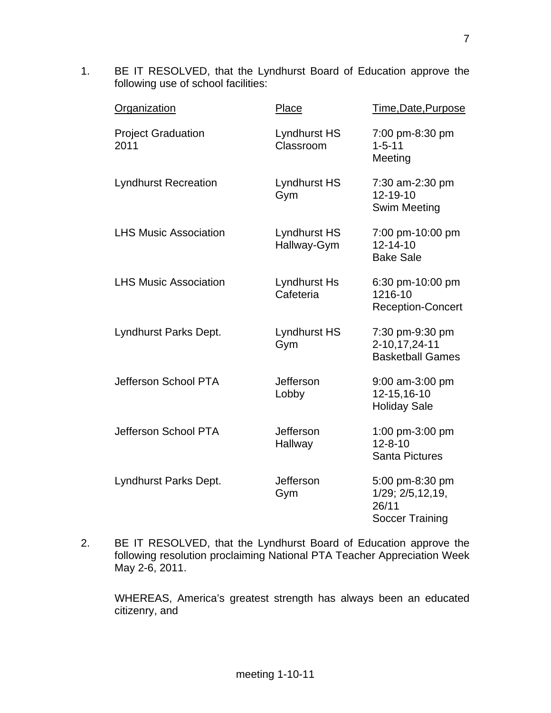1. BE IT RESOLVED, that the Lyndhurst Board of Education approve the following use of school facilities:

| Organization                      | Place                            | Time, Date, Purpose                                                    |
|-----------------------------------|----------------------------------|------------------------------------------------------------------------|
| <b>Project Graduation</b><br>2011 | <b>Lyndhurst HS</b><br>Classroom | 7:00 pm-8:30 pm<br>$1 - 5 - 11$<br>Meeting                             |
| <b>Lyndhurst Recreation</b>       | Lyndhurst HS<br>Gym              | 7:30 am-2:30 pm<br>12-19-10<br><b>Swim Meeting</b>                     |
| <b>LHS Music Association</b>      | Lyndhurst HS<br>Hallway-Gym      | 7:00 pm-10:00 pm<br>$12 - 14 - 10$<br><b>Bake Sale</b>                 |
| <b>LHS Music Association</b>      | <b>Lyndhurst Hs</b><br>Cafeteria | 6:30 pm-10:00 pm<br>1216-10<br><b>Reception-Concert</b>                |
| Lyndhurst Parks Dept.             | <b>Lyndhurst HS</b><br>Gym       | 7:30 pm-9:30 pm<br>2-10,17,24-11<br><b>Basketball Games</b>            |
| Jefferson School PTA              | Jefferson<br>Lobby               | 9:00 am-3:00 pm<br>12-15,16-10<br><b>Holiday Sale</b>                  |
| Jefferson School PTA              | Jefferson<br>Hallway             | 1:00 pm-3:00 pm<br>$12 - 8 - 10$<br><b>Santa Pictures</b>              |
| Lyndhurst Parks Dept.             | Jefferson<br>Gym                 | 5:00 pm-8:30 pm<br>1/29; 2/5,12,19,<br>26/11<br><b>Soccer Training</b> |

2. BE IT RESOLVED, that the Lyndhurst Board of Education approve the following resolution proclaiming National PTA Teacher Appreciation Week May 2-6, 2011.

 WHEREAS, America's greatest strength has always been an educated citizenry, and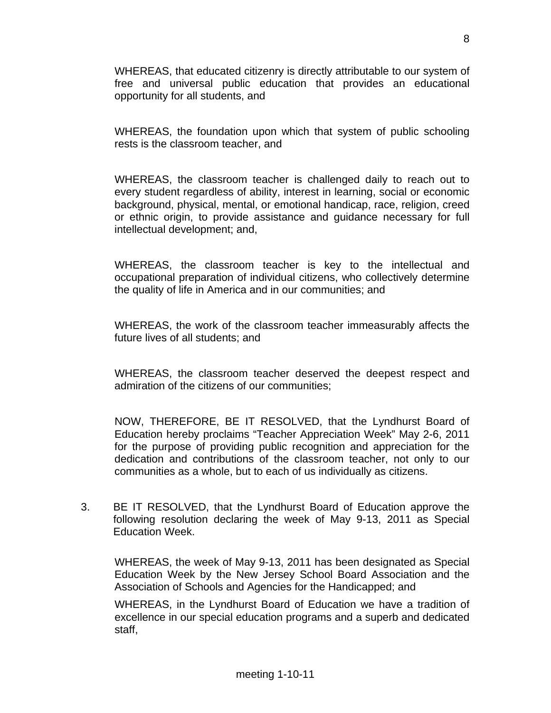WHEREAS, that educated citizenry is directly attributable to our system of free and universal public education that provides an educational opportunity for all students, and

 WHEREAS, the foundation upon which that system of public schooling rests is the classroom teacher, and

 WHEREAS, the classroom teacher is challenged daily to reach out to every student regardless of ability, interest in learning, social or economic background, physical, mental, or emotional handicap, race, religion, creed or ethnic origin, to provide assistance and guidance necessary for full intellectual development; and,

 WHEREAS, the classroom teacher is key to the intellectual and occupational preparation of individual citizens, who collectively determine the quality of life in America and in our communities; and

 WHEREAS, the work of the classroom teacher immeasurably affects the future lives of all students; and

 WHEREAS, the classroom teacher deserved the deepest respect and admiration of the citizens of our communities;

 NOW, THEREFORE, BE IT RESOLVED, that the Lyndhurst Board of Education hereby proclaims "Teacher Appreciation Week" May 2-6, 2011 for the purpose of providing public recognition and appreciation for the dedication and contributions of the classroom teacher, not only to our communities as a whole, but to each of us individually as citizens.

3. BE IT RESOLVED, that the Lyndhurst Board of Education approve the following resolution declaring the week of May 9-13, 2011 as Special Education Week.

 WHEREAS, the week of May 9-13, 2011 has been designated as Special Education Week by the New Jersey School Board Association and the Association of Schools and Agencies for the Handicapped; and

 WHEREAS, in the Lyndhurst Board of Education we have a tradition of excellence in our special education programs and a superb and dedicated staff,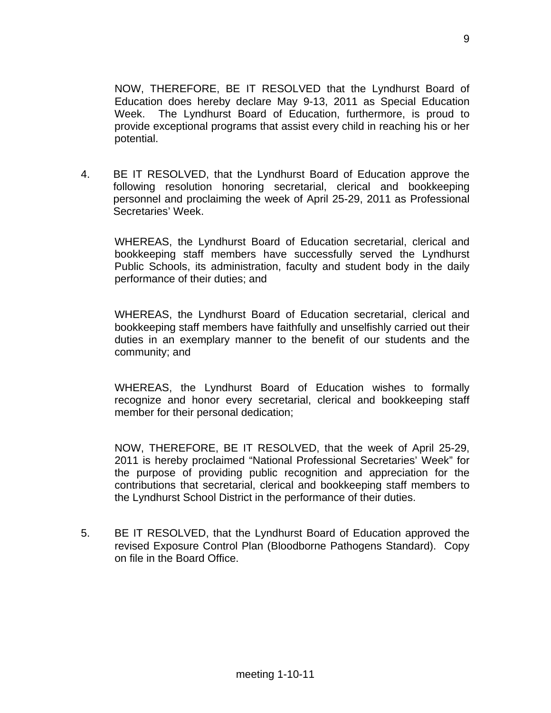NOW, THEREFORE, BE IT RESOLVED that the Lyndhurst Board of Education does hereby declare May 9-13, 2011 as Special Education Week. The Lyndhurst Board of Education, furthermore, is proud to provide exceptional programs that assist every child in reaching his or her potential.

4. BE IT RESOLVED, that the Lyndhurst Board of Education approve the following resolution honoring secretarial, clerical and bookkeeping personnel and proclaiming the week of April 25-29, 2011 as Professional Secretaries' Week.

 WHEREAS, the Lyndhurst Board of Education secretarial, clerical and bookkeeping staff members have successfully served the Lyndhurst Public Schools, its administration, faculty and student body in the daily performance of their duties; and

 WHEREAS, the Lyndhurst Board of Education secretarial, clerical and bookkeeping staff members have faithfully and unselfishly carried out their duties in an exemplary manner to the benefit of our students and the community; and

 WHEREAS, the Lyndhurst Board of Education wishes to formally recognize and honor every secretarial, clerical and bookkeeping staff member for their personal dedication;

 NOW, THEREFORE, BE IT RESOLVED, that the week of April 25-29, 2011 is hereby proclaimed "National Professional Secretaries' Week" for the purpose of providing public recognition and appreciation for the contributions that secretarial, clerical and bookkeeping staff members to the Lyndhurst School District in the performance of their duties.

5. BE IT RESOLVED, that the Lyndhurst Board of Education approved the revised Exposure Control Plan (Bloodborne Pathogens Standard). Copy on file in the Board Office.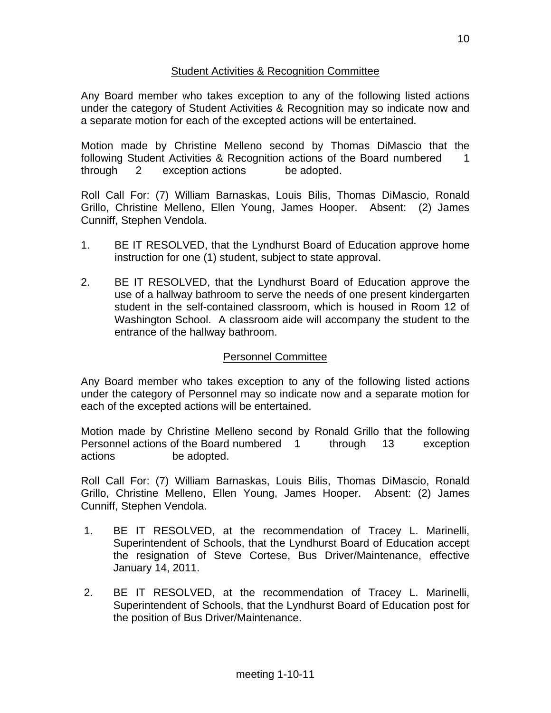## Student Activities & Recognition Committee

Any Board member who takes exception to any of the following listed actions under the category of Student Activities & Recognition may so indicate now and a separate motion for each of the excepted actions will be entertained.

Motion made by Christine Melleno second by Thomas DiMascio that the following Student Activities & Recognition actions of the Board numbered 1 through 2 exception actions be adopted.

Roll Call For: (7) William Barnaskas, Louis Bilis, Thomas DiMascio, Ronald Grillo, Christine Melleno, Ellen Young, James Hooper. Absent: (2) James Cunniff, Stephen Vendola.

- 1. BE IT RESOLVED, that the Lyndhurst Board of Education approve home instruction for one (1) student, subject to state approval.
- 2. BE IT RESOLVED, that the Lyndhurst Board of Education approve the use of a hallway bathroom to serve the needs of one present kindergarten student in the self-contained classroom, which is housed in Room 12 of Washington School. A classroom aide will accompany the student to the entrance of the hallway bathroom.

# Personnel Committee

Any Board member who takes exception to any of the following listed actions under the category of Personnel may so indicate now and a separate motion for each of the excepted actions will be entertained.

Motion made by Christine Melleno second by Ronald Grillo that the following Personnel actions of the Board numbered 1 through 13 exception actions be adopted.

Roll Call For: (7) William Barnaskas, Louis Bilis, Thomas DiMascio, Ronald Grillo, Christine Melleno, Ellen Young, James Hooper. Absent: (2) James Cunniff, Stephen Vendola.

- 1. BE IT RESOLVED, at the recommendation of Tracey L. Marinelli, Superintendent of Schools, that the Lyndhurst Board of Education accept the resignation of Steve Cortese, Bus Driver/Maintenance, effective January 14, 2011.
- 2. BE IT RESOLVED, at the recommendation of Tracey L. Marinelli, Superintendent of Schools, that the Lyndhurst Board of Education post for the position of Bus Driver/Maintenance.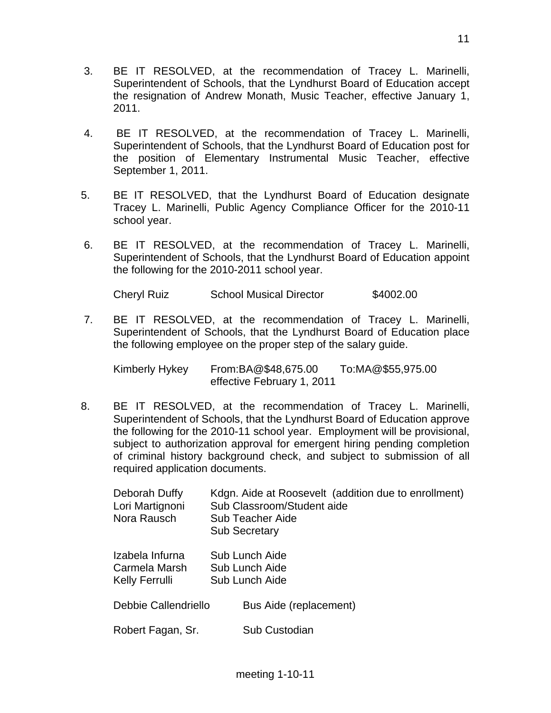- 4. BE IT RESOLVED, at the recommendation of Tracey L. Marinelli, Superintendent of Schools, that the Lyndhurst Board of Education post for the position of Elementary Instrumental Music Teacher, effective September 1, 2011.
- 5. BE IT RESOLVED, that the Lyndhurst Board of Education designate Tracey L. Marinelli, Public Agency Compliance Officer for the 2010-11 school year.
- 6. BE IT RESOLVED, at the recommendation of Tracey L. Marinelli, Superintendent of Schools, that the Lyndhurst Board of Education appoint the following for the 2010-2011 school year.

Cheryl Ruiz School Musical Director \$4002.00

 7. BE IT RESOLVED, at the recommendation of Tracey L. Marinelli, Superintendent of Schools, that the Lyndhurst Board of Education place the following employee on the proper step of the salary guide.

 Kimberly Hykey From:BA@\$48,675.00 To:MA@\$55,975.00 effective February 1, 2011

8. BE IT RESOLVED, at the recommendation of Tracey L. Marinelli, Superintendent of Schools, that the Lyndhurst Board of Education approve the following for the 2010-11 school year. Employment will be provisional, subject to authorization approval for emergent hiring pending completion of criminal history background check, and subject to submission of all required application documents.

| Deborah Duffy<br>Lori Martignoni<br>Nora Rausch    | Kdgn. Aide at Roosevelt (addition due to enrollment)<br>Sub Classroom/Student aide<br>Sub Teacher Aide<br><b>Sub Secretary</b> |
|----------------------------------------------------|--------------------------------------------------------------------------------------------------------------------------------|
| Izabela Infurna<br>Carmela Marsh<br>Kelly Ferrulli | Sub Lunch Aide<br>Sub Lunch Aide<br>Sub Lunch Aide                                                                             |
| Debbie Callendriello                               | Bus Aide (replacement)                                                                                                         |
| Robert Fagan, Sr.                                  | Sub Custodian                                                                                                                  |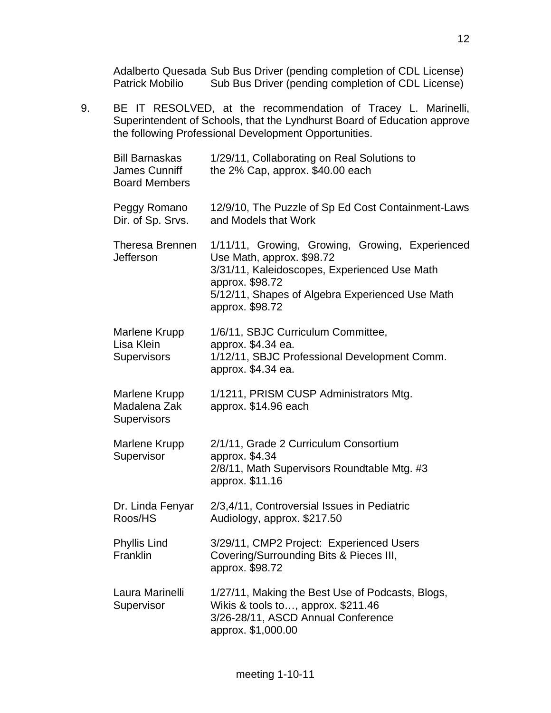Adalberto Quesada Sub Bus Driver (pending completion of CDL License) Patrick Mobilio Sub Bus Driver (pending completion of CDL License)

9. BE IT RESOLVED, at the recommendation of Tracey L. Marinelli, Superintendent of Schools, that the Lyndhurst Board of Education approve the following Professional Development Opportunities.

| <b>Bill Barnaskas</b><br>James Cunniff<br><b>Board Members</b> | 1/29/11, Collaborating on Real Solutions to<br>the 2% Cap, approx. \$40.00 each                                                                                                                                       |
|----------------------------------------------------------------|-----------------------------------------------------------------------------------------------------------------------------------------------------------------------------------------------------------------------|
| Peggy Romano<br>Dir. of Sp. Srvs.                              | 12/9/10, The Puzzle of Sp Ed Cost Containment-Laws<br>and Models that Work                                                                                                                                            |
| Theresa Brennen<br><b>Jefferson</b>                            | 1/11/11, Growing, Growing, Growing, Experienced<br>Use Math, approx. \$98.72<br>3/31/11, Kaleidoscopes, Experienced Use Math<br>approx. \$98.72<br>5/12/11, Shapes of Algebra Experienced Use Math<br>approx. \$98.72 |
| Marlene Krupp<br>Lisa Klein<br><b>Supervisors</b>              | 1/6/11, SBJC Curriculum Committee,<br>approx. \$4.34 ea.<br>1/12/11, SBJC Professional Development Comm.<br>approx. \$4.34 ea.                                                                                        |
| Marlene Krupp<br>Madalena Zak<br><b>Supervisors</b>            | 1/1211, PRISM CUSP Administrators Mtg.<br>approx. \$14.96 each                                                                                                                                                        |
| Marlene Krupp<br>Supervisor                                    | 2/1/11, Grade 2 Curriculum Consortium<br>approx. \$4.34<br>2/8/11, Math Supervisors Roundtable Mtg. #3<br>approx. \$11.16                                                                                             |
| Dr. Linda Fenyar<br>Roos/HS                                    | 2/3,4/11, Controversial Issues in Pediatric<br>Audiology, approx. \$217.50                                                                                                                                            |
| Phyllis Lind<br>Franklin                                       | 3/29/11, CMP2 Project: Experienced Users<br>Covering/Surrounding Bits & Pieces III,<br>approx. \$98.72                                                                                                                |
| Laura Marinelli<br>Supervisor                                  | 1/27/11, Making the Best Use of Podcasts, Blogs,<br>Wikis & tools to, approx. \$211.46<br>3/26-28/11, ASCD Annual Conference<br>approx. \$1,000.00                                                                    |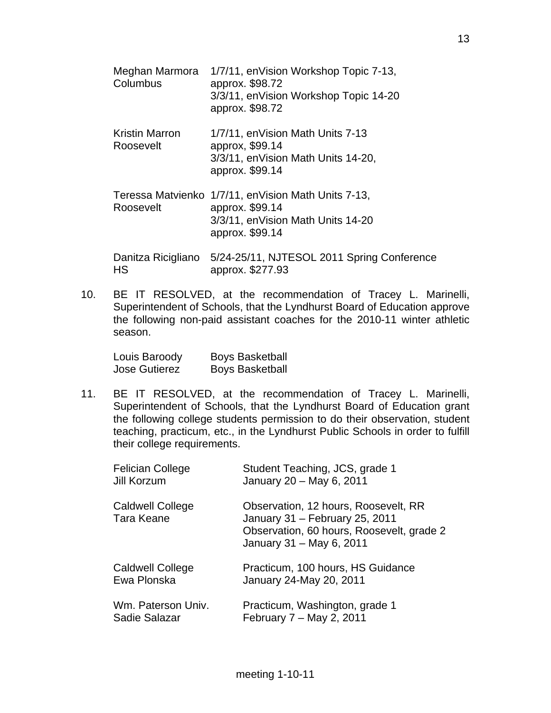| Meghan Marmora<br>Columbus         | 1/7/11, en Vision Workshop Topic 7-13,<br>approx. \$98.72<br>3/3/11, enVision Workshop Topic 14-20<br>approx. \$98.72            |
|------------------------------------|----------------------------------------------------------------------------------------------------------------------------------|
| <b>Kristin Marron</b><br>Roosevelt | 1/7/11, en Vision Math Units 7-13<br>approx, \$99.14<br>3/3/11, en Vision Math Units 14-20,<br>approx. \$99.14                   |
| Roosevelt                          | Teressa Matvienko 1/7/11, en Vision Math Units 7-13,<br>approx. \$99.14<br>3/3/11, en Vision Math Units 14-20<br>approx. \$99.14 |
| Danitza Ricigliano<br>HS           | 5/24-25/11, NJTESOL 2011 Spring Conference<br>approx. \$277.93                                                                   |

10. BE IT RESOLVED, at the recommendation of Tracey L. Marinelli, Superintendent of Schools, that the Lyndhurst Board of Education approve the following non-paid assistant coaches for the 2010-11 winter athletic season.

| Louis Baroody        | <b>Boys Basketball</b> |
|----------------------|------------------------|
| <b>Jose Gutierez</b> | <b>Boys Basketball</b> |

11. BE IT RESOLVED, at the recommendation of Tracey L. Marinelli, Superintendent of Schools, that the Lyndhurst Board of Education grant the following college students permission to do their observation, student teaching, practicum, etc., in the Lyndhurst Public Schools in order to fulfill their college requirements.

| <b>Felician College</b><br>Jill Korzum | Student Teaching, JCS, grade 1<br>January 20 - May 6, 2011                                                                                      |
|----------------------------------------|-------------------------------------------------------------------------------------------------------------------------------------------------|
| <b>Caldwell College</b><br>Tara Keane  | Observation, 12 hours, Roosevelt, RR<br>January 31 - February 25, 2011<br>Observation, 60 hours, Roosevelt, grade 2<br>January 31 - May 6, 2011 |
| <b>Caldwell College</b><br>Ewa Plonska | Practicum, 100 hours, HS Guidance<br>January 24-May 20, 2011                                                                                    |
| Wm. Paterson Univ.<br>Sadie Salazar    | Practicum, Washington, grade 1<br>February 7 – May 2, 2011                                                                                      |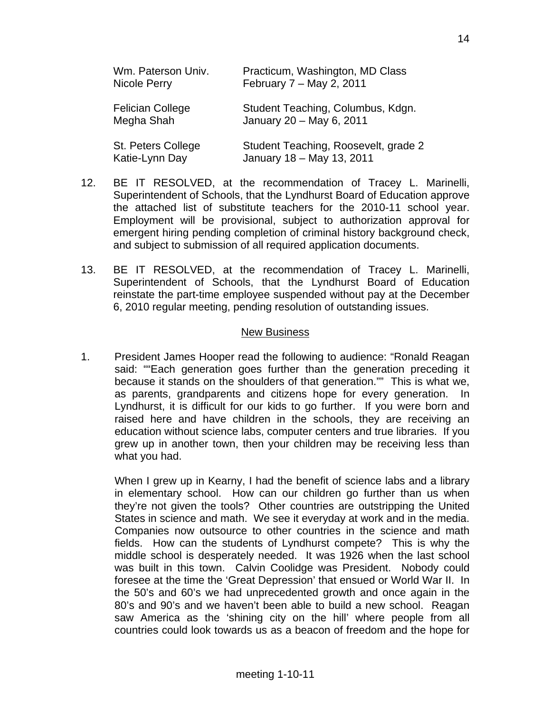| Wm. Paterson Univ.<br>Nicole Perry    | Practicum, Washington, MD Class<br>February 7 - May 2, 2011       |
|---------------------------------------|-------------------------------------------------------------------|
| <b>Felician College</b><br>Megha Shah | Student Teaching, Columbus, Kdgn.<br>January 20 - May 6, 2011     |
| St. Peters College<br>Katie-Lynn Day  | Student Teaching, Roosevelt, grade 2<br>January 18 - May 13, 2011 |

- 12. BE IT RESOLVED, at the recommendation of Tracey L. Marinelli, Superintendent of Schools, that the Lyndhurst Board of Education approve the attached list of substitute teachers for the 2010-11 school year. Employment will be provisional, subject to authorization approval for emergent hiring pending completion of criminal history background check, and subject to submission of all required application documents.
- 13. BE IT RESOLVED, at the recommendation of Tracey L. Marinelli, Superintendent of Schools, that the Lyndhurst Board of Education reinstate the part-time employee suspended without pay at the December 6, 2010 regular meeting, pending resolution of outstanding issues.

#### New Business

1. President James Hooper read the following to audience: "Ronald Reagan said: ""Each generation goes further than the generation preceding it because it stands on the shoulders of that generation."" This is what we, as parents, grandparents and citizens hope for every generation. In Lyndhurst, it is difficult for our kids to go further. If you were born and raised here and have children in the schools, they are receiving an education without science labs, computer centers and true libraries. If you grew up in another town, then your children may be receiving less than what you had.

 When I grew up in Kearny, I had the benefit of science labs and a library in elementary school. How can our children go further than us when they're not given the tools? Other countries are outstripping the United States in science and math. We see it everyday at work and in the media. Companies now outsource to other countries in the science and math fields. How can the students of Lyndhurst compete? This is why the middle school is desperately needed. It was 1926 when the last school was built in this town. Calvin Coolidge was President. Nobody could foresee at the time the 'Great Depression' that ensued or World War II. In the 50's and 60's we had unprecedented growth and once again in the 80's and 90's and we haven't been able to build a new school. Reagan saw America as the 'shining city on the hill' where people from all countries could look towards us as a beacon of freedom and the hope for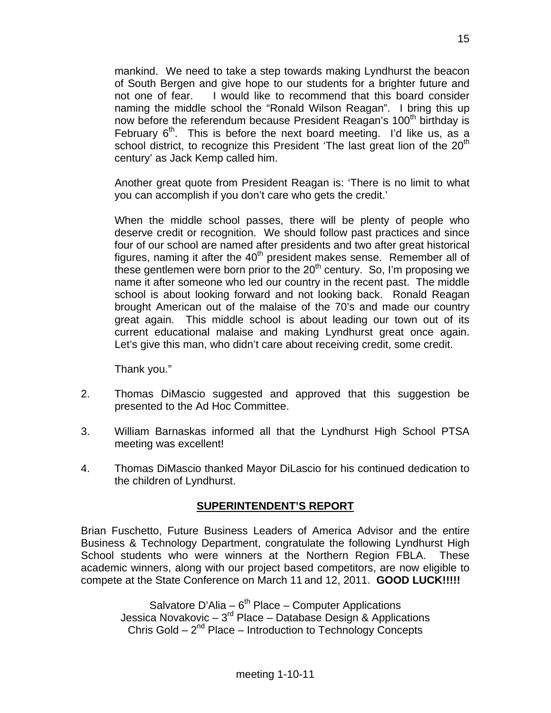mankind. We need to take a step towards making Lyndhurst the beacon of South Bergen and give hope to our students for a brighter future and not one of fear. I would like to recommend that this board consider naming the middle school the "Ronald Wilson Reagan". I bring this up now before the referendum because President Reagan's 100<sup>th</sup> birthday is February  $6<sup>th</sup>$ . This is before the next board meeting. I'd like us, as a school district, to recognize this President 'The last great lion of the 20<sup>th</sup> century' as Jack Kemp called him.

 Another great quote from President Reagan is: 'There is no limit to what you can accomplish if you don't care who gets the credit.'

 When the middle school passes, there will be plenty of people who deserve credit or recognition. We should follow past practices and since four of our school are named after presidents and two after great historical figures, naming it after the  $40<sup>th</sup>$  president makes sense. Remember all of these gentlemen were born prior to the  $20<sup>th</sup>$  century. So, I'm proposing we name it after someone who led our country in the recent past. The middle school is about looking forward and not looking back. Ronald Reagan brought American out of the malaise of the 70's and made our country great again. This middle school is about leading our town out of its current educational malaise and making Lyndhurst great once again. Let's give this man, who didn't care about receiving credit, some credit.

Thank you."

- 2. Thomas DiMascio suggested and approved that this suggestion be presented to the Ad Hoc Committee.
- 3. William Barnaskas informed all that the Lyndhurst High School PTSA meeting was excellent!
- 4. Thomas DiMascio thanked Mayor DiLascio for his continued dedication to the children of Lyndhurst.

## **SUPERINTENDENT'S REPORT**

Brian Fuschetto, Future Business Leaders of America Advisor and the entire Business & Technology Department, congratulate the following Lyndhurst High School students who were winners at the Northern Region FBLA. These academic winners, along with our project based competitors, are now eligible to compete at the State Conference on March 11 and 12, 2011. **GOOD LUCK!!!!!** 

Salvatore D'Alia –  $6<sup>th</sup>$  Place – Computer Applications Jessica Novakovic –  $3^{rd}$  Place – Database Design & Applications Chris Gold –  $2^{nd}$  Place – Introduction to Technology Concepts